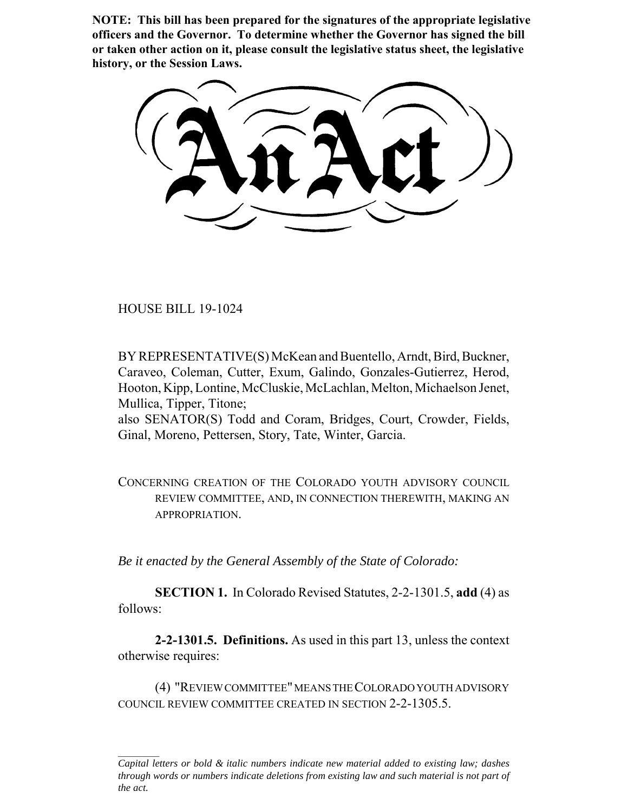**NOTE: This bill has been prepared for the signatures of the appropriate legislative officers and the Governor. To determine whether the Governor has signed the bill or taken other action on it, please consult the legislative status sheet, the legislative history, or the Session Laws.**

HOUSE BILL 19-1024

BY REPRESENTATIVE(S) McKean and Buentello, Arndt, Bird, Buckner, Caraveo, Coleman, Cutter, Exum, Galindo, Gonzales-Gutierrez, Herod, Hooton, Kipp, Lontine, McCluskie, McLachlan, Melton, Michaelson Jenet, Mullica, Tipper, Titone;

also SENATOR(S) Todd and Coram, Bridges, Court, Crowder, Fields, Ginal, Moreno, Pettersen, Story, Tate, Winter, Garcia.

CONCERNING CREATION OF THE COLORADO YOUTH ADVISORY COUNCIL REVIEW COMMITTEE, AND, IN CONNECTION THEREWITH, MAKING AN APPROPRIATION.

*Be it enacted by the General Assembly of the State of Colorado:*

**SECTION 1.** In Colorado Revised Statutes, 2-2-1301.5, **add** (4) as follows:

**2-2-1301.5. Definitions.** As used in this part 13, unless the context otherwise requires:

(4) "REVIEW COMMITTEE" MEANS THE COLORADO YOUTH ADVISORY COUNCIL REVIEW COMMITTEE CREATED IN SECTION 2-2-1305.5.

*Capital letters or bold & italic numbers indicate new material added to existing law; dashes through words or numbers indicate deletions from existing law and such material is not part of the act.*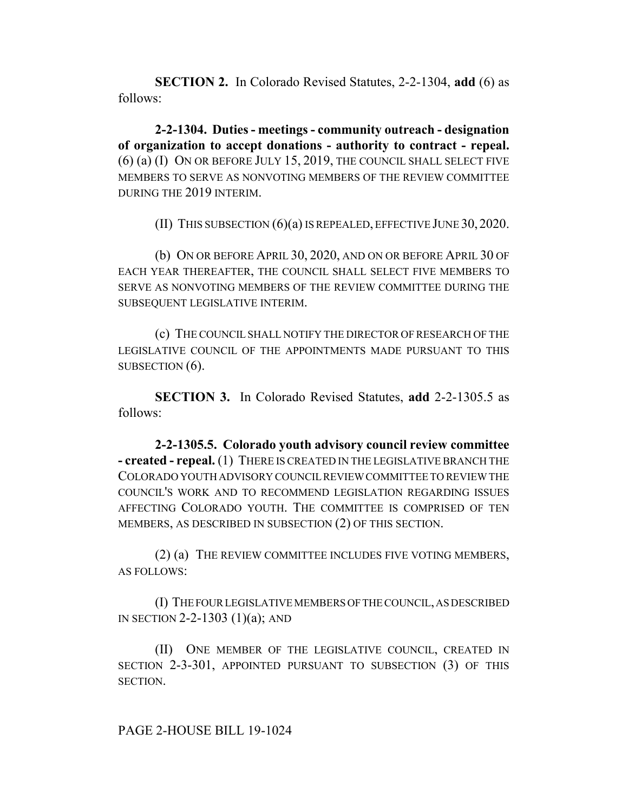**SECTION 2.** In Colorado Revised Statutes, 2-2-1304, **add** (6) as follows:

**2-2-1304. Duties - meetings - community outreach - designation of organization to accept donations - authority to contract - repeal.** (6) (a) (I) ON OR BEFORE JULY 15, 2019, THE COUNCIL SHALL SELECT FIVE MEMBERS TO SERVE AS NONVOTING MEMBERS OF THE REVIEW COMMITTEE DURING THE 2019 INTERIM.

(II) THIS SUBSECTION (6)(a) IS REPEALED, EFFECTIVE JUNE 30, 2020.

(b) ON OR BEFORE APRIL 30, 2020, AND ON OR BEFORE APRIL 30 OF EACH YEAR THEREAFTER, THE COUNCIL SHALL SELECT FIVE MEMBERS TO SERVE AS NONVOTING MEMBERS OF THE REVIEW COMMITTEE DURING THE SUBSEQUENT LEGISLATIVE INTERIM.

(c) THE COUNCIL SHALL NOTIFY THE DIRECTOR OF RESEARCH OF THE LEGISLATIVE COUNCIL OF THE APPOINTMENTS MADE PURSUANT TO THIS SUBSECTION  $(6)$ .

**SECTION 3.** In Colorado Revised Statutes, **add** 2-2-1305.5 as follows:

**2-2-1305.5. Colorado youth advisory council review committee - created - repeal.** (1) THERE IS CREATED IN THE LEGISLATIVE BRANCH THE COLORADO YOUTH ADVISORY COUNCIL REVIEW COMMITTEE TO REVIEW THE COUNCIL'S WORK AND TO RECOMMEND LEGISLATION REGARDING ISSUES AFFECTING COLORADO YOUTH. THE COMMITTEE IS COMPRISED OF TEN MEMBERS, AS DESCRIBED IN SUBSECTION (2) OF THIS SECTION.

(2) (a) THE REVIEW COMMITTEE INCLUDES FIVE VOTING MEMBERS, AS FOLLOWS:

(I) THE FOUR LEGISLATIVE MEMBERS OF THE COUNCIL, AS DESCRIBED IN SECTION 2-2-1303 (1)(a); AND

(II) ONE MEMBER OF THE LEGISLATIVE COUNCIL, CREATED IN SECTION 2-3-301, APPOINTED PURSUANT TO SUBSECTION (3) OF THIS SECTION.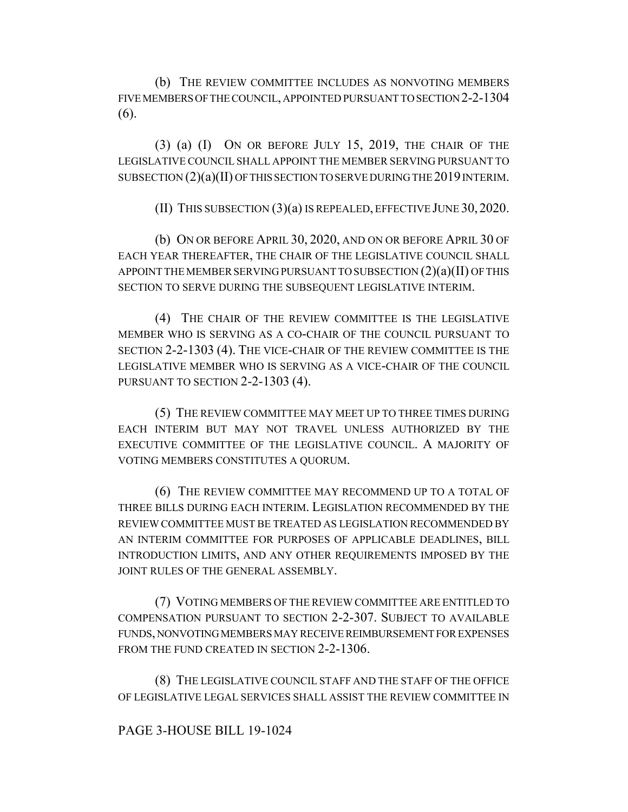(b) THE REVIEW COMMITTEE INCLUDES AS NONVOTING MEMBERS FIVE MEMBERS OF THE COUNCIL, APPOINTED PURSUANT TO SECTION 2-2-1304 (6).

(3) (a) (I) ON OR BEFORE JULY 15, 2019, THE CHAIR OF THE LEGISLATIVE COUNCIL SHALL APPOINT THE MEMBER SERVING PURSUANT TO SUBSECTION (2)(a)(II) OF THIS SECTION TO SERVE DURING THE 2019 INTERIM.

(II) THIS SUBSECTION (3)(a) IS REPEALED, EFFECTIVE JUNE 30, 2020.

(b) ON OR BEFORE APRIL 30, 2020, AND ON OR BEFORE APRIL 30 OF EACH YEAR THEREAFTER, THE CHAIR OF THE LEGISLATIVE COUNCIL SHALL APPOINT THE MEMBER SERVING PURSUANT TO SUBSECTION  $(2)(a)(II)$  OF THIS SECTION TO SERVE DURING THE SUBSEQUENT LEGISLATIVE INTERIM.

(4) THE CHAIR OF THE REVIEW COMMITTEE IS THE LEGISLATIVE MEMBER WHO IS SERVING AS A CO-CHAIR OF THE COUNCIL PURSUANT TO SECTION 2-2-1303 (4). THE VICE-CHAIR OF THE REVIEW COMMITTEE IS THE LEGISLATIVE MEMBER WHO IS SERVING AS A VICE-CHAIR OF THE COUNCIL PURSUANT TO SECTION 2-2-1303 (4).

(5) THE REVIEW COMMITTEE MAY MEET UP TO THREE TIMES DURING EACH INTERIM BUT MAY NOT TRAVEL UNLESS AUTHORIZED BY THE EXECUTIVE COMMITTEE OF THE LEGISLATIVE COUNCIL. A MAJORITY OF VOTING MEMBERS CONSTITUTES A QUORUM.

(6) THE REVIEW COMMITTEE MAY RECOMMEND UP TO A TOTAL OF THREE BILLS DURING EACH INTERIM. LEGISLATION RECOMMENDED BY THE REVIEW COMMITTEE MUST BE TREATED AS LEGISLATION RECOMMENDED BY AN INTERIM COMMITTEE FOR PURPOSES OF APPLICABLE DEADLINES, BILL INTRODUCTION LIMITS, AND ANY OTHER REQUIREMENTS IMPOSED BY THE JOINT RULES OF THE GENERAL ASSEMBLY.

(7) VOTING MEMBERS OF THE REVIEW COMMITTEE ARE ENTITLED TO COMPENSATION PURSUANT TO SECTION 2-2-307. SUBJECT TO AVAILABLE FUNDS, NONVOTING MEMBERS MAY RECEIVE REIMBURSEMENT FOR EXPENSES FROM THE FUND CREATED IN SECTION 2-2-1306.

(8) THE LEGISLATIVE COUNCIL STAFF AND THE STAFF OF THE OFFICE OF LEGISLATIVE LEGAL SERVICES SHALL ASSIST THE REVIEW COMMITTEE IN

## PAGE 3-HOUSE BILL 19-1024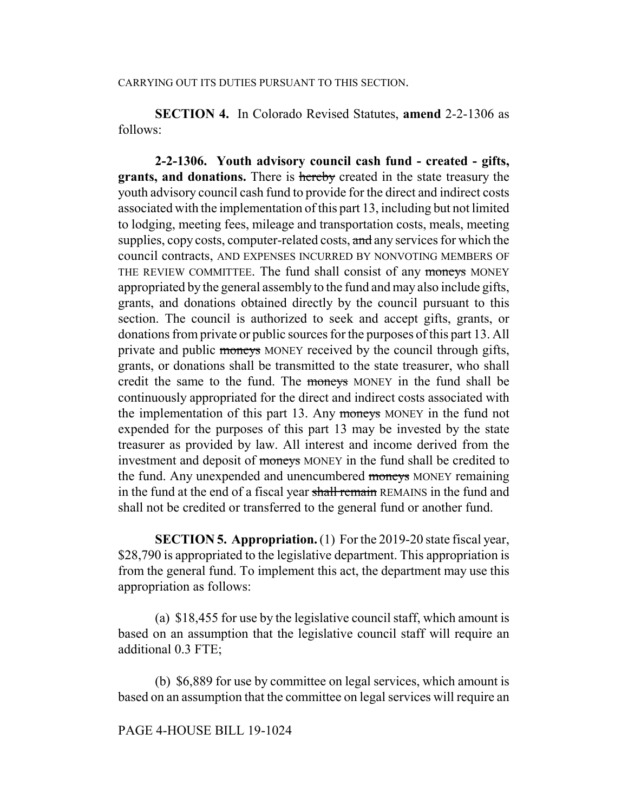## CARRYING OUT ITS DUTIES PURSUANT TO THIS SECTION.

**SECTION 4.** In Colorado Revised Statutes, **amend** 2-2-1306 as follows:

**2-2-1306. Youth advisory council cash fund - created - gifts, grants, and donations.** There is hereby created in the state treasury the youth advisory council cash fund to provide for the direct and indirect costs associated with the implementation of this part 13, including but not limited to lodging, meeting fees, mileage and transportation costs, meals, meeting supplies, copy costs, computer-related costs, and any services for which the council contracts, AND EXPENSES INCURRED BY NONVOTING MEMBERS OF THE REVIEW COMMITTEE. The fund shall consist of any moneys MONEY appropriated by the general assembly to the fund and may also include gifts, grants, and donations obtained directly by the council pursuant to this section. The council is authorized to seek and accept gifts, grants, or donations from private or public sources for the purposes of this part 13. All private and public moneys MONEY received by the council through gifts, grants, or donations shall be transmitted to the state treasurer, who shall credit the same to the fund. The moneys MONEY in the fund shall be continuously appropriated for the direct and indirect costs associated with the implementation of this part 13. Any moneys MONEY in the fund not expended for the purposes of this part 13 may be invested by the state treasurer as provided by law. All interest and income derived from the investment and deposit of moneys MONEY in the fund shall be credited to the fund. Any unexpended and unencumbered moneys MONEY remaining in the fund at the end of a fiscal year shall remain REMAINS in the fund and shall not be credited or transferred to the general fund or another fund.

**SECTION 5. Appropriation.** (1) For the 2019-20 state fiscal year, \$28,790 is appropriated to the legislative department. This appropriation is from the general fund. To implement this act, the department may use this appropriation as follows:

(a) \$18,455 for use by the legislative council staff, which amount is based on an assumption that the legislative council staff will require an additional 0.3 FTE;

(b) \$6,889 for use by committee on legal services, which amount is based on an assumption that the committee on legal services will require an

## PAGE 4-HOUSE BILL 19-1024